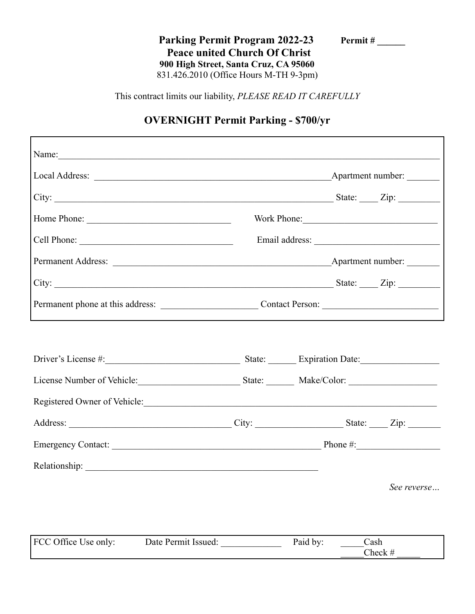**Parking Permit Program 2022-23 Permit # \_\_\_\_\_\_ Peace united Church Of Christ 900 High Street, Santa Cruz, CA 95060** 831.426.2010 (Office Hours M-TH 9-3pm)

This contract limits our liability, *PLEASE READ IT CAREFULLY*

## **OVERNIGHT Permit Parking - \$700/yr**

|                              | Work Phone:                                                      |  |             |  |
|------------------------------|------------------------------------------------------------------|--|-------------|--|
| Cell Phone:                  |                                                                  |  |             |  |
|                              |                                                                  |  |             |  |
|                              |                                                                  |  |             |  |
|                              | Permanent phone at this address: Contact Person: Contact Person: |  |             |  |
|                              |                                                                  |  |             |  |
|                              |                                                                  |  |             |  |
|                              |                                                                  |  |             |  |
| Registered Owner of Vehicle: |                                                                  |  |             |  |
|                              |                                                                  |  |             |  |
|                              |                                                                  |  |             |  |
|                              |                                                                  |  |             |  |
|                              |                                                                  |  | See reverse |  |
|                              |                                                                  |  |             |  |
|                              |                                                                  |  |             |  |

| FCC Office Use only: | Date Permit Issued: | Paid by | Cash             |
|----------------------|---------------------|---------|------------------|
|                      |                     |         | $\bigcap$ heck # |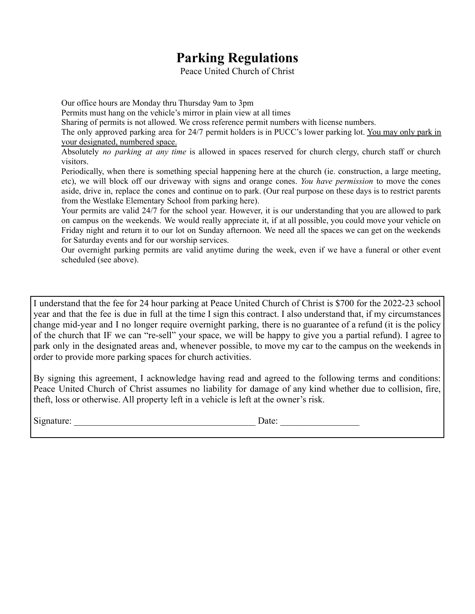## **Parking Regulations**

Peace United Church of Christ

Our office hours are Monday thru Thursday 9am to 3pm

Permits must hang on the vehicle's mirror in plain view at all times

Sharing of permits is not allowed. We cross reference permit numbers with license numbers.

The only approved parking area for 24/7 permit holders is in PUCC's lower parking lot. You may only park in your designated, numbered space.

Absolutely *no parking at any time* is allowed in spaces reserved for church clergy, church staff or church visitors.

Periodically, when there is something special happening here at the church (ie. construction, a large meeting, etc), we will block off our driveway with signs and orange cones. *You have permission* to move the cones aside, drive in, replace the cones and continue on to park. (Our real purpose on these days is to restrict parents from the Westlake Elementary School from parking here).

Your permits are valid 24/7 for the school year. However, it is our understanding that you are allowed to park on campus on the weekends. We would really appreciate it, if at all possible, you could move your vehicle on Friday night and return it to our lot on Sunday afternoon. We need all the spaces we can get on the weekends for Saturday events and for our worship services.

Our overnight parking permits are valid anytime during the week, even if we have a funeral or other event scheduled (see above).

I understand that the fee for 24 hour parking at Peace United Church of Christ is \$700 for the 2022-23 school year and that the fee is due in full at the time I sign this contract. I also understand that, if my circumstances change mid-year and I no longer require overnight parking, there is no guarantee of a refund (it is the policy of the church that IF we can "re-sell" your space, we will be happy to give you a partial refund). I agree to park only in the designated areas and, whenever possible, to move my car to the campus on the weekends in order to provide more parking spaces for church activities.

By signing this agreement, I acknowledge having read and agreed to the following terms and conditions: Peace United Church of Christ assumes no liability for damage of any kind whether due to collision, fire, theft, loss or otherwise. All property left in a vehicle is left at the owner's risk.

 $Date:$